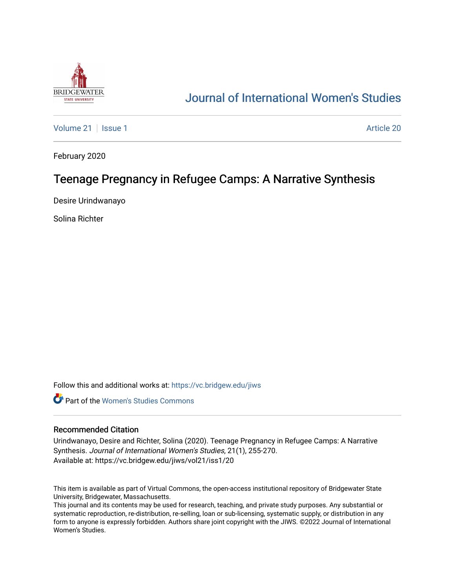

# [Journal of International Women's Studies](https://vc.bridgew.edu/jiws)

[Volume 21](https://vc.bridgew.edu/jiws/vol21) | [Issue 1](https://vc.bridgew.edu/jiws/vol21/iss1) Article 20

February 2020

## Teenage Pregnancy in Refugee Camps: A Narrative Synthesis

Desire Urindwanayo

Solina Richter

Follow this and additional works at: [https://vc.bridgew.edu/jiws](https://vc.bridgew.edu/jiws?utm_source=vc.bridgew.edu%2Fjiws%2Fvol21%2Fiss1%2F20&utm_medium=PDF&utm_campaign=PDFCoverPages)

**C** Part of the Women's Studies Commons

#### Recommended Citation

Urindwanayo, Desire and Richter, Solina (2020). Teenage Pregnancy in Refugee Camps: A Narrative Synthesis. Journal of International Women's Studies, 21(1), 255-270. Available at: https://vc.bridgew.edu/jiws/vol21/iss1/20

This item is available as part of Virtual Commons, the open-access institutional repository of Bridgewater State University, Bridgewater, Massachusetts.

This journal and its contents may be used for research, teaching, and private study purposes. Any substantial or systematic reproduction, re-distribution, re-selling, loan or sub-licensing, systematic supply, or distribution in any form to anyone is expressly forbidden. Authors share joint copyright with the JIWS. ©2022 Journal of International Women's Studies.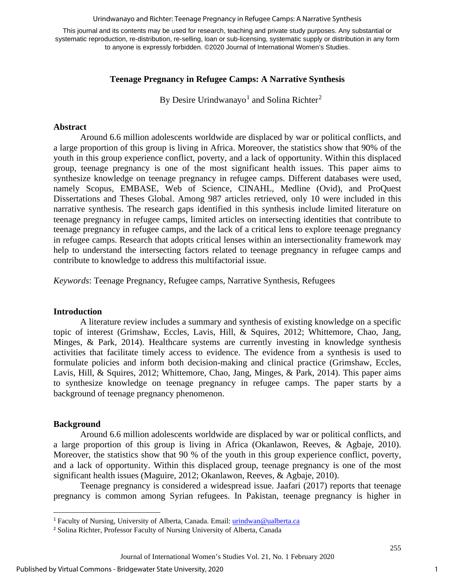Urindwanayo and Richter: Teenage Pregnancy in Refugee Camps: A Narrative Synthesis

This journal and its contents may be used for research, teaching and private study purposes. Any substantial or systematic reproduction, re-distribution, re-selling, loan or sub-licensing, systematic supply or distribution in any form to anyone is expressly forbidden. ©2020 Journal of International Women's Studies.

## **Teenage Pregnancy in Refugee Camps: A Narrative Synthesis**

By Desire Urindwanayo<sup>[1](#page-1-0)</sup> and Solina Richter<sup>[2](#page-1-1)</sup>

#### **Abstract**

Around 6.6 million adolescents worldwide are displaced by war or political conflicts, and a large proportion of this group is living in Africa. Moreover, the statistics show that 90% of the youth in this group experience conflict, poverty, and a lack of opportunity. Within this displaced group, teenage pregnancy is one of the most significant health issues. This paper aims to synthesize knowledge on teenage pregnancy in refugee camps. Different databases were used, namely Scopus, EMBASE, Web of Science, CINAHL, Medline (Ovid), and ProQuest Dissertations and Theses Global. Among 987 articles retrieved, only 10 were included in this narrative synthesis. The research gaps identified in this synthesis include limited literature on teenage pregnancy in refugee camps, limited articles on intersecting identities that contribute to teenage pregnancy in refugee camps, and the lack of a critical lens to explore teenage pregnancy in refugee camps. Research that adopts critical lenses within an intersectionality framework may help to understand the intersecting factors related to teenage pregnancy in refugee camps and contribute to knowledge to address this multifactorial issue.

*Keywords*: Teenage Pregnancy, Refugee camps, Narrative Synthesis, Refugees

#### **Introduction**

A literature review includes a summary and synthesis of existing knowledge on a specific topic of interest (Grimshaw, Eccles, Lavis, Hill, & Squires, 2012; Whittemore, Chao, Jang, Minges, & Park, 2014). Healthcare systems are currently investing in knowledge synthesis activities that facilitate timely access to evidence. The evidence from a synthesis is used to formulate policies and inform both decision-making and clinical practice (Grimshaw, Eccles, Lavis, Hill, & Squires, 2012; Whittemore, Chao, Jang, Minges, & Park, 2014). This paper aims to synthesize knowledge on teenage pregnancy in refugee camps. The paper starts by a background of teenage pregnancy phenomenon.

#### **Background**

Around 6.6 million adolescents worldwide are displaced by war or political conflicts, and a large proportion of this group is living in Africa (Okanlawon, Reeves, & Agbaje, 2010). Moreover, the statistics show that 90 % of the youth in this group experience conflict, poverty, and a lack of opportunity. Within this displaced group, teenage pregnancy is one of the most significant health issues (Maguire, 2012; Okanlawon, Reeves, & Agbaje, 2010).

Teenage pregnancy is considered a widespread issue. Jaafari (2017) reports that teenage pregnancy is common among Syrian refugees. In Pakistan, teenage pregnancy is higher in

<span id="page-1-0"></span><sup>&</sup>lt;sup>1</sup> Faculty of Nursing, University of Alberta, Canada. Email: [urindwan@ualberta.ca](mailto:urindwan@ualberta.ca)

<span id="page-1-1"></span><sup>2</sup> Solina Richter, Professor Faculty of Nursing University of Alberta, Canada

Journal of International Women's Studies Vol. 21, No. 1 February 2020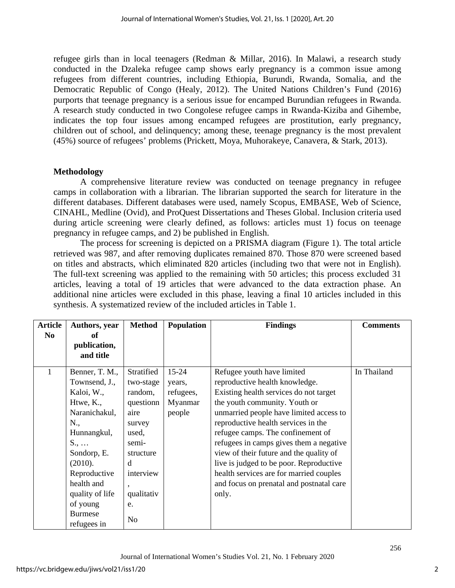refugee girls than in local teenagers (Redman & Millar, 2016). In Malawi, a research study conducted in the Dzaleka refugee camp shows early pregnancy is a common issue among refugees from different countries, including Ethiopia, Burundi, Rwanda, Somalia, and the Democratic Republic of Congo (Healy, 2012). The United Nations Children's Fund (2016) purports that teenage pregnancy is a serious issue for encamped Burundian refugees in Rwanda. A research study conducted in two Congolese refugee camps in Rwanda-Kiziba and Gihembe, indicates the top four issues among encamped refugees are prostitution, early pregnancy, children out of school, and delinquency; among these, teenage pregnancy is the most prevalent (45%) source of refugees' problems (Prickett, Moya, Muhorakeye, Canavera, & Stark, 2013).

## **Methodology**

A comprehensive literature review was conducted on teenage pregnancy in refugee camps in collaboration with a librarian. The librarian supported the search for literature in the different databases. Different databases were used, namely Scopus, EMBASE, Web of Science, CINAHL, Medline (Ovid), and ProQuest Dissertations and Theses Global. Inclusion criteria used during article screening were clearly defined, as follows: articles must 1) focus on teenage pregnancy in refugee camps, and 2) be published in English.

The process for screening is depicted on a PRISMA diagram (Figure 1). The total article retrieved was 987, and after removing duplicates remained 870. Those 870 were screened based on titles and abstracts, which eliminated 820 articles (including two that were not in English). The full-text screening was applied to the remaining with 50 articles; this process excluded 31 articles, leaving a total of 19 articles that were advanced to the data extraction phase. An additional nine articles were excluded in this phase, leaving a final 10 articles included in this synthesis. A systematized review of the included articles in Table 1.

| <b>Article</b> | Authors, year       | <b>Method</b>  | <b>Population</b> | <b>Findings</b>                          | <b>Comments</b> |
|----------------|---------------------|----------------|-------------------|------------------------------------------|-----------------|
| N <sub>0</sub> | of                  |                |                   |                                          |                 |
|                | publication,        |                |                   |                                          |                 |
|                | and title           |                |                   |                                          |                 |
| 1              | Benner, T. M.,      | Stratified     | $15 - 24$         | Refugee youth have limited               | In Thailand     |
|                | Townsend, J.,       | two-stage      | years,            | reproductive health knowledge.           |                 |
|                | Kaloi, W.,          | random,        | refugees,         | Existing health services do not target   |                 |
|                | Htwe, K.,           | questionn      | Myanmar           | the youth community. Youth or            |                 |
|                | Naranichakul,       | aire           | people            | unmarried people have limited access to  |                 |
|                | N.,                 | survey         |                   | reproductive health services in the      |                 |
|                | Hunnangkul,         | used,          |                   | refugee camps. The confinement of        |                 |
|                | $S_{\cdot}, \ldots$ | semi-          |                   | refugees in camps gives them a negative  |                 |
|                | Sondorp, E.         | structure      |                   | view of their future and the quality of  |                 |
|                | (2010).             | d              |                   | live is judged to be poor. Reproductive  |                 |
|                | Reproductive        | interview      |                   | health services are for married couples  |                 |
|                | health and          |                |                   | and focus on prenatal and postnatal care |                 |
|                | quality of life     | qualitativ     |                   | only.                                    |                 |
|                | of young            | e.             |                   |                                          |                 |
|                | <b>Burmese</b>      | N <sub>o</sub> |                   |                                          |                 |
|                | refugees in         |                |                   |                                          |                 |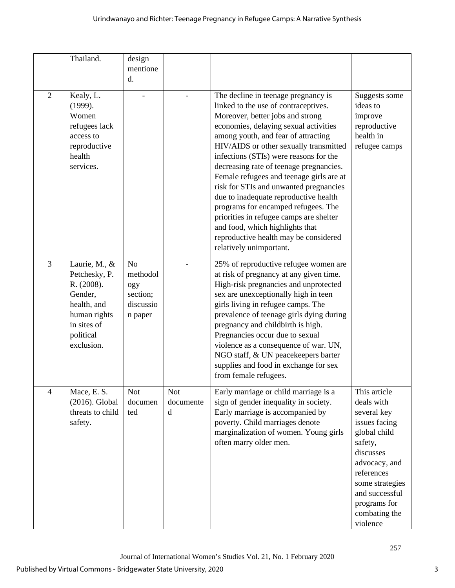|                | Thailand.                                                                                                                        | design<br>mentione<br>d.                                              |                              |                                                                                                                                                                                                                                                                                                                                                                                                                                                                                                                                                                                                                                                        |                                                                                                                                                                                                                     |
|----------------|----------------------------------------------------------------------------------------------------------------------------------|-----------------------------------------------------------------------|------------------------------|--------------------------------------------------------------------------------------------------------------------------------------------------------------------------------------------------------------------------------------------------------------------------------------------------------------------------------------------------------------------------------------------------------------------------------------------------------------------------------------------------------------------------------------------------------------------------------------------------------------------------------------------------------|---------------------------------------------------------------------------------------------------------------------------------------------------------------------------------------------------------------------|
| 2              | Kealy, L.<br>(1999).<br>Women<br>refugees lack<br>access to<br>reproductive<br>health<br>services.                               |                                                                       |                              | The decline in teenage pregnancy is<br>linked to the use of contraceptives.<br>Moreover, better jobs and strong<br>economies, delaying sexual activities<br>among youth, and fear of attracting<br>HIV/AIDS or other sexually transmitted<br>infections (STIs) were reasons for the<br>decreasing rate of teenage pregnancies.<br>Female refugees and teenage girls are at<br>risk for STIs and unwanted pregnancies<br>due to inadequate reproductive health<br>programs for encamped refugees. The<br>priorities in refugee camps are shelter<br>and food, which highlights that<br>reproductive health may be considered<br>relatively unimportant. | Suggests some<br>ideas to<br>improve<br>reproductive<br>health in<br>refugee camps                                                                                                                                  |
| 3              | Laurie, M., &<br>Petchesky, P.<br>R. (2008).<br>Gender,<br>health, and<br>human rights<br>in sites of<br>political<br>exclusion. | N <sub>o</sub><br>methodol<br>ogy<br>section;<br>discussio<br>n paper |                              | 25% of reproductive refugee women are<br>at risk of pregnancy at any given time.<br>High-risk pregnancies and unprotected<br>sex are unexceptionally high in teen<br>girls living in refugee camps. The<br>prevalence of teenage girls dying during<br>pregnancy and childbirth is high.<br>Pregnancies occur due to sexual<br>violence as a consequence of war. UN,<br>NGO staff, & UN peacekeepers barter<br>supplies and food in exchange for sex<br>from female refugees.                                                                                                                                                                          |                                                                                                                                                                                                                     |
| $\overline{4}$ | Mace, E. S.<br>(2016). Global<br>threats to child<br>safety.                                                                     | <b>Not</b><br>documen<br>ted                                          | <b>Not</b><br>documente<br>d | Early marriage or child marriage is a<br>sign of gender inequality in society.<br>Early marriage is accompanied by<br>poverty. Child marriages denote<br>marginalization of women. Young girls<br>often marry older men.                                                                                                                                                                                                                                                                                                                                                                                                                               | This article<br>deals with<br>several key<br>issues facing<br>global child<br>safety,<br>discusses<br>advocacy, and<br>references<br>some strategies<br>and successful<br>programs for<br>combating the<br>violence |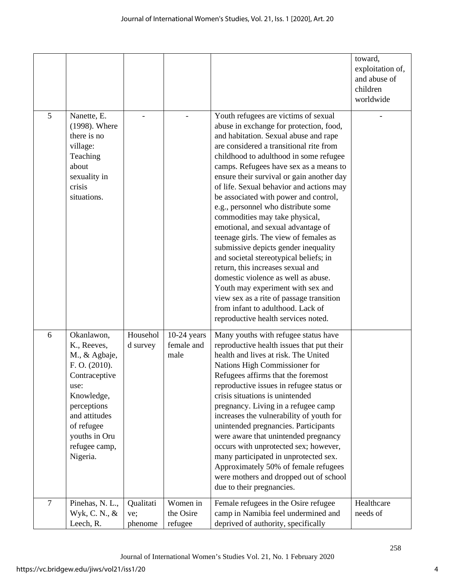|                |                                                                                                                                                                                                |                             |                                     |                                                                                                                                                                                                                                                                                                                                                                                                                                                                                                                                                                                                                                                                                                                                                                                                                                                                              | toward,<br>exploitation of,<br>and abuse of<br>children<br>worldwide |
|----------------|------------------------------------------------------------------------------------------------------------------------------------------------------------------------------------------------|-----------------------------|-------------------------------------|------------------------------------------------------------------------------------------------------------------------------------------------------------------------------------------------------------------------------------------------------------------------------------------------------------------------------------------------------------------------------------------------------------------------------------------------------------------------------------------------------------------------------------------------------------------------------------------------------------------------------------------------------------------------------------------------------------------------------------------------------------------------------------------------------------------------------------------------------------------------------|----------------------------------------------------------------------|
| 5              | Nanette, E.<br>(1998). Where<br>there is no<br>village:<br>Teaching<br>about<br>sexuality in<br>crisis<br>situations.                                                                          |                             |                                     | Youth refugees are victims of sexual<br>abuse in exchange for protection, food,<br>and habitation. Sexual abuse and rape<br>are considered a transitional rite from<br>childhood to adulthood in some refugee<br>camps. Refugees have sex as a means to<br>ensure their survival or gain another day<br>of life. Sexual behavior and actions may<br>be associated with power and control,<br>e.g., personnel who distribute some<br>commodities may take physical,<br>emotional, and sexual advantage of<br>teenage girls. The view of females as<br>submissive depicts gender inequality<br>and societal stereotypical beliefs; in<br>return, this increases sexual and<br>domestic violence as well as abuse.<br>Youth may experiment with sex and<br>view sex as a rite of passage transition<br>from infant to adulthood. Lack of<br>reproductive health services noted. |                                                                      |
| 6              | Okanlawon,<br>K., Reeves,<br>M., & Agbaje,<br>F. O. (2010).<br>Contraceptive<br>use:<br>Knowledge,<br>perceptions<br>and attitudes<br>of refugee<br>youths in Oru<br>refugee camp,<br>Nigeria. | Househol<br>d survey        | $10-24$ years<br>female and<br>male | Many youths with refugee status have<br>reproductive health issues that put their<br>health and lives at risk. The United<br>Nations High Commissioner for<br>Refugees affirms that the foremost<br>reproductive issues in refugee status or<br>crisis situations is unintended<br>pregnancy. Living in a refugee camp<br>increases the vulnerability of youth for<br>unintended pregnancies. Participants<br>were aware that unintended pregnancy<br>occurs with unprotected sex; however,<br>many participated in unprotected sex.<br>Approximately 50% of female refugees<br>were mothers and dropped out of school<br>due to their pregnancies.                                                                                                                                                                                                                          |                                                                      |
| $\overline{7}$ | Pinehas, N. L.,<br>Wyk, C. N., &<br>Leech, R.                                                                                                                                                  | Qualitati<br>ve;<br>phenome | Women in<br>the Osire<br>refugee    | Female refugees in the Osire refugee<br>camp in Namibia feel undermined and<br>deprived of authority, specifically                                                                                                                                                                                                                                                                                                                                                                                                                                                                                                                                                                                                                                                                                                                                                           | Healthcare<br>needs of                                               |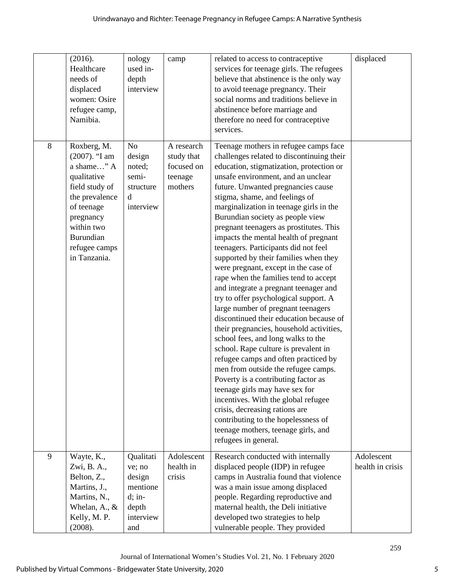| 8 | (2016).<br>Healthcare<br>needs of<br>displaced<br>women: Osire<br>refugee camp,<br>Namibia.<br>Roxberg, M.                                                               | nology<br>used in-<br>depth<br>interview<br>N <sub>o</sub>                         | camp<br>A research                             | related to access to contraceptive<br>services for teenage girls. The refugees<br>believe that abstinence is the only way<br>to avoid teenage pregnancy. Their<br>social norms and traditions believe in<br>abstinence before marriage and<br>therefore no need for contraceptive<br>services.<br>Teenage mothers in refugee camps face                                                                                                                                                                                                                                                                                                                                                                                                                                                                                                                                                                                                                                                                                                                                                                                                                                      | displaced                      |
|---|--------------------------------------------------------------------------------------------------------------------------------------------------------------------------|------------------------------------------------------------------------------------|------------------------------------------------|------------------------------------------------------------------------------------------------------------------------------------------------------------------------------------------------------------------------------------------------------------------------------------------------------------------------------------------------------------------------------------------------------------------------------------------------------------------------------------------------------------------------------------------------------------------------------------------------------------------------------------------------------------------------------------------------------------------------------------------------------------------------------------------------------------------------------------------------------------------------------------------------------------------------------------------------------------------------------------------------------------------------------------------------------------------------------------------------------------------------------------------------------------------------------|--------------------------------|
|   | $(2007)$ . "I am<br>a shame" A<br>qualitative<br>field study of<br>the prevalence<br>of teenage<br>pregnancy<br>within two<br>Burundian<br>refugee camps<br>in Tanzania. | design<br>noted;<br>semi-<br>structure<br>d<br>interview                           | study that<br>focused on<br>teenage<br>mothers | challenges related to discontinuing their<br>education, stigmatization, protection or<br>unsafe environment, and an unclear<br>future. Unwanted pregnancies cause<br>stigma, shame, and feelings of<br>marginalization in teenage girls in the<br>Burundian society as people view<br>pregnant teenagers as prostitutes. This<br>impacts the mental health of pregnant<br>teenagers. Participants did not feel<br>supported by their families when they<br>were pregnant, except in the case of<br>rape when the families tend to accept<br>and integrate a pregnant teenager and<br>try to offer psychological support. A<br>large number of pregnant teenagers<br>discontinued their education because of<br>their pregnancies, household activities,<br>school fees, and long walks to the<br>school. Rape culture is prevalent in<br>refugee camps and often practiced by<br>men from outside the refugee camps.<br>Poverty is a contributing factor as<br>teenage girls may have sex for<br>incentives. With the global refugee<br>crisis, decreasing rations are<br>contributing to the hopelessness of<br>teenage mothers, teenage girls, and<br>refugees in general. |                                |
| 9 | Wayte, K.,<br>Zwi, B. A.,<br>Belton, Z.,<br>Martins, J.,<br>Martins, N.,<br>Whelan, A., $\&$<br>Kelly, M. P.<br>(2008).                                                  | Qualitati<br>ve; no<br>design<br>mentione<br>$d;$ in-<br>depth<br>interview<br>and | Adolescent<br>health in<br>crisis              | Research conducted with internally<br>displaced people (IDP) in refugee<br>camps in Australia found that violence<br>was a main issue among displaced<br>people. Regarding reproductive and<br>maternal health, the Deli initiative<br>developed two strategies to help<br>vulnerable people. They provided                                                                                                                                                                                                                                                                                                                                                                                                                                                                                                                                                                                                                                                                                                                                                                                                                                                                  | Adolescent<br>health in crisis |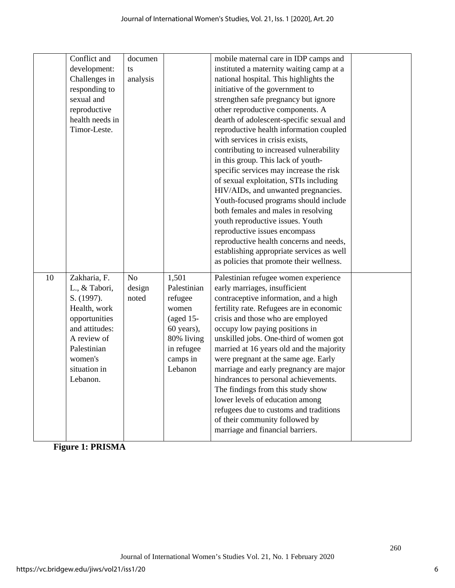|    | Conflict and<br>development:<br>Challenges in<br>responding to<br>sexual and<br>reproductive<br>health needs in<br>Timor-Leste.                                     | documen<br>ts<br>analysis |                                                                                                                           | mobile maternal care in IDP camps and<br>instituted a maternity waiting camp at a<br>national hospital. This highlights the<br>initiative of the government to<br>strengthen safe pregnancy but ignore<br>other reproductive components. A<br>dearth of adolescent-specific sexual and<br>reproductive health information coupled<br>with services in crisis exists,<br>contributing to increased vulnerability<br>in this group. This lack of youth-<br>specific services may increase the risk<br>of sexual exploitation, STIs including<br>HIV/AIDs, and unwanted pregnancies.<br>Youth-focused programs should include<br>both females and males in resolving<br>youth reproductive issues. Youth<br>reproductive issues encompass<br>reproductive health concerns and needs,<br>establishing appropriate services as well<br>as policies that promote their wellness. |  |
|----|---------------------------------------------------------------------------------------------------------------------------------------------------------------------|---------------------------|---------------------------------------------------------------------------------------------------------------------------|----------------------------------------------------------------------------------------------------------------------------------------------------------------------------------------------------------------------------------------------------------------------------------------------------------------------------------------------------------------------------------------------------------------------------------------------------------------------------------------------------------------------------------------------------------------------------------------------------------------------------------------------------------------------------------------------------------------------------------------------------------------------------------------------------------------------------------------------------------------------------|--|
| 10 | Zakharia, F.<br>L., & Tabori,<br>S. (1997).<br>Health, work<br>opportunities<br>and attitudes:<br>A review of<br>Palestinian<br>women's<br>situation in<br>Lebanon. | No<br>design<br>noted     | 1,501<br>Palestinian<br>refugee<br>women<br>$(aged 15-)$<br>60 years),<br>80% living<br>in refugee<br>camps in<br>Lebanon | Palestinian refugee women experience<br>early marriages, insufficient<br>contraceptive information, and a high<br>fertility rate. Refugees are in economic<br>crisis and those who are employed<br>occupy low paying positions in<br>unskilled jobs. One-third of women got<br>married at 16 years old and the majority<br>were pregnant at the same age. Early<br>marriage and early pregnancy are major<br>hindrances to personal achievements.<br>The findings from this study show<br>lower levels of education among<br>refugees due to customs and traditions<br>of their community followed by<br>marriage and financial barriers.                                                                                                                                                                                                                                  |  |

**Figure 1: PRISMA**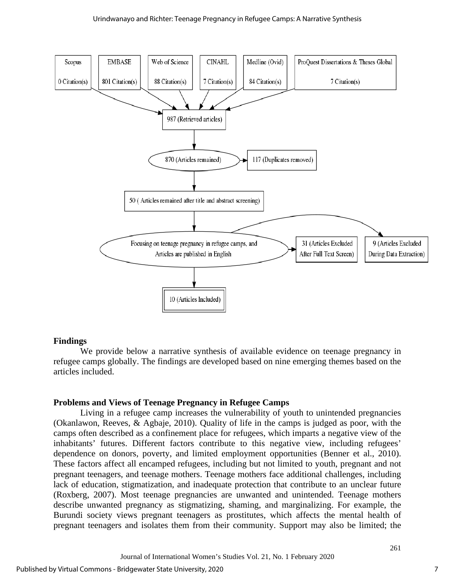#### Urindwanayo and Richter: Teenage Pregnancy in Refugee Camps: A Narrative Synthesis



#### **Findings**

We provide below a narrative synthesis of available evidence on teenage pregnancy in refugee camps globally. The findings are developed based on nine emerging themes based on the articles included.

#### **Problems and Views of Teenage Pregnancy in Refugee Camps**

 Living in a refugee camp increases the vulnerability of youth to unintended pregnancies (Okanlawon, Reeves, & Agbaje, 2010). Quality of life in the camps is judged as poor, with the camps often described as a confinement place for refugees, which imparts a negative view of the inhabitants' futures. Different factors contribute to this negative view, including refugees' dependence on donors, poverty, and limited employment opportunities (Benner et al., 2010). These factors affect all encamped refugees, including but not limited to youth, pregnant and not pregnant teenagers, and teenage mothers. Teenage mothers face additional challenges, including lack of education, stigmatization, and inadequate protection that contribute to an unclear future (Roxberg, 2007). Most teenage pregnancies are unwanted and unintended. Teenage mothers describe unwanted pregnancy as stigmatizing, shaming, and marginalizing. For example, the Burundi society views pregnant teenagers as prostitutes, which affects the mental health of pregnant teenagers and isolates them from their community. Support may also be limited; the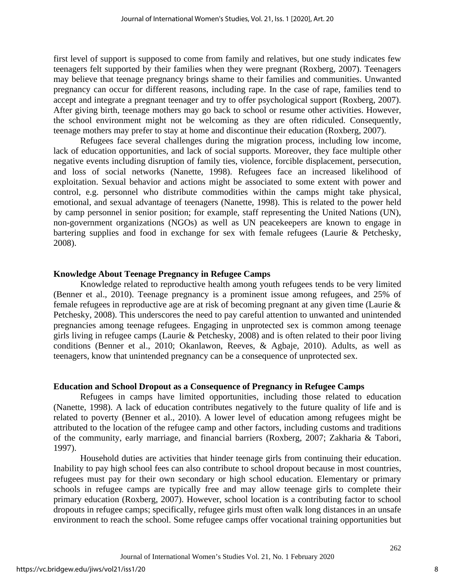first level of support is supposed to come from family and relatives, but one study indicates few teenagers felt supported by their families when they were pregnant (Roxberg, 2007). Teenagers may believe that teenage pregnancy brings shame to their families and communities. Unwanted pregnancy can occur for different reasons, including rape. In the case of rape, families tend to accept and integrate a pregnant teenager and try to offer psychological support (Roxberg, 2007). After giving birth, teenage mothers may go back to school or resume other activities. However, the school environment might not be welcoming as they are often ridiculed. Consequently, teenage mothers may prefer to stay at home and discontinue their education (Roxberg, 2007).

Refugees face several challenges during the migration process, including low income, lack of education opportunities, and lack of social supports. Moreover, they face multiple other negative events including disruption of family ties, violence, forcible displacement, persecution, and loss of social networks (Nanette, 1998). Refugees face an increased likelihood of exploitation. Sexual behavior and actions might be associated to some extent with power and control, e.g. personnel who distribute commodities within the camps might take physical, emotional, and sexual advantage of teenagers (Nanette, 1998). This is related to the power held by camp personnel in senior position; for example, staff representing the United Nations (UN), non-government organizations (NGOs) as well as UN peacekeepers are known to engage in bartering supplies and food in exchange for sex with female refugees (Laurie & Petchesky, 2008).

## **Knowledge About Teenage Pregnancy in Refugee Camps**

 Knowledge related to reproductive health among youth refugees tends to be very limited (Benner et al., 2010). Teenage pregnancy is a prominent issue among refugees, and 25% of female refugees in reproductive age are at risk of becoming pregnant at any given time (Laurie & Petchesky, 2008). This underscores the need to pay careful attention to unwanted and unintended pregnancies among teenage refugees. Engaging in unprotected sex is common among teenage girls living in refugee camps (Laurie & Petchesky, 2008) and is often related to their poor living conditions (Benner et al., 2010; Okanlawon, Reeves, & Agbaje, 2010). Adults, as well as teenagers, know that unintended pregnancy can be a consequence of unprotected sex.

#### **Education and School Dropout as a Consequence of Pregnancy in Refugee Camps**

Refugees in camps have limited opportunities, including those related to education (Nanette, 1998). A lack of education contributes negatively to the future quality of life and is related to poverty (Benner et al., 2010). A lower level of education among refugees might be attributed to the location of the refugee camp and other factors, including customs and traditions of the community, early marriage, and financial barriers (Roxberg, 2007; Zakharia & Tabori, 1997).

 Household duties are activities that hinder teenage girls from continuing their education. Inability to pay high school fees can also contribute to school dropout because in most countries, refugees must pay for their own secondary or high school education. Elementary or primary schools in refugee camps are typically free and may allow teenage girls to complete their primary education (Roxberg, 2007). However, school location is a contributing factor to school dropouts in refugee camps; specifically, refugee girls must often walk long distances in an unsafe environment to reach the school. Some refugee camps offer vocational training opportunities but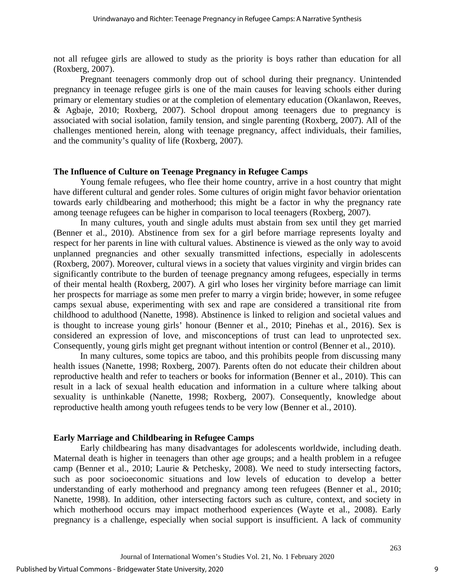not all refugee girls are allowed to study as the priority is boys rather than education for all (Roxberg, 2007).

 Pregnant teenagers commonly drop out of school during their pregnancy. Unintended pregnancy in teenage refugee girls is one of the main causes for leaving schools either during primary or elementary studies or at the completion of elementary education (Okanlawon, Reeves, & Agbaje, 2010; Roxberg, 2007). School dropout among teenagers due to pregnancy is associated with social isolation, family tension, and single parenting (Roxberg, 2007). All of the challenges mentioned herein, along with teenage pregnancy, affect individuals, their families, and the community's quality of life (Roxberg, 2007).

## **The Influence of Culture on Teenage Pregnancy in Refugee Camps**

 Young female refugees, who flee their home country, arrive in a host country that might have different cultural and gender roles. Some cultures of origin might favor behavior orientation towards early childbearing and motherhood; this might be a factor in why the pregnancy rate among teenage refugees can be higher in comparison to local teenagers (Roxberg, 2007).

In many cultures, youth and single adults must abstain from sex until they get married (Benner et al., 2010). Abstinence from sex for a girl before marriage represents loyalty and respect for her parents in line with cultural values. Abstinence is viewed as the only way to avoid unplanned pregnancies and other sexually transmitted infections, especially in adolescents (Roxberg, 2007). Moreover, cultural views in a society that values virginity and virgin brides can significantly contribute to the burden of teenage pregnancy among refugees, especially in terms of their mental health (Roxberg, 2007). A girl who loses her virginity before marriage can limit her prospects for marriage as some men prefer to marry a virgin bride; however, in some refugee camps sexual abuse, experimenting with sex and rape are considered a transitional rite from childhood to adulthood (Nanette, 1998). Abstinence is linked to religion and societal values and is thought to increase young girls' honour (Benner et al., 2010; Pinehas et al., 2016). Sex is considered an expression of love, and misconceptions of trust can lead to unprotected sex. Consequently, young girls might get pregnant without intention or control (Benner et al., 2010).

In many cultures, some topics are taboo, and this prohibits people from discussing many health issues (Nanette, 1998; Roxberg, 2007). Parents often do not educate their children about reproductive health and refer to teachers or books for information (Benner et al., 2010). This can result in a lack of sexual health education and information in a culture where talking about sexuality is unthinkable (Nanette, 1998; Roxberg, 2007). Consequently, knowledge about reproductive health among youth refugees tends to be very low (Benner et al., 2010).

## **Early Marriage and Childbearing in Refugee Camps**

 Early childbearing has many disadvantages for adolescents worldwide, including death. Maternal death is higher in teenagers than other age groups; and a health problem in a refugee camp (Benner et al., 2010; Laurie & Petchesky, 2008). We need to study intersecting factors, such as poor socioeconomic situations and low levels of education to develop a better understanding of early motherhood and pregnancy among teen refugees (Benner et al., 2010; Nanette, 1998). In addition, other intersecting factors such as culture, context, and society in which motherhood occurs may impact motherhood experiences (Wayte et al., 2008). Early pregnancy is a challenge, especially when social support is insufficient. A lack of community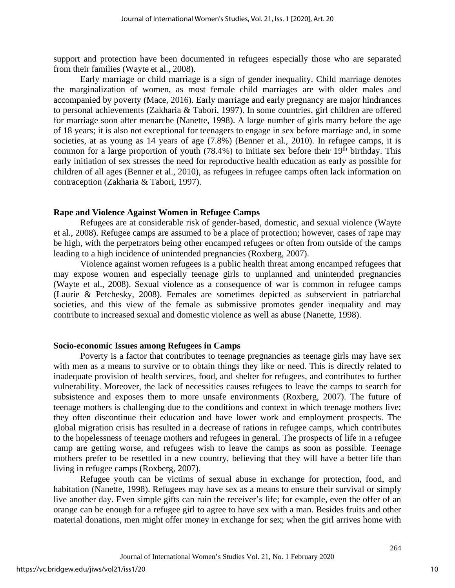support and protection have been documented in refugees especially those who are separated from their families (Wayte et al., 2008).

Early marriage or child marriage is a sign of gender inequality. Child marriage denotes the marginalization of women, as most female child marriages are with older males and accompanied by poverty (Mace, 2016). Early marriage and early pregnancy are major hindrances to personal achievements (Zakharia & Tabori, 1997). In some countries, girl children are offered for marriage soon after menarche (Nanette, 1998). A large number of girls marry before the age of 18 years; it is also not exceptional for teenagers to engage in sex before marriage and, in some societies, at as young as 14 years of age (7.8%) (Benner et al., 2010). In refugee camps, it is common for a large proportion of youth (78.4%) to initiate sex before their  $19<sup>th</sup>$  birthday. This early initiation of sex stresses the need for reproductive health education as early as possible for children of all ages (Benner et al., 2010), as refugees in refugee camps often lack information on contraception (Zakharia & Tabori, 1997).

#### **Rape and Violence Against Women in Refugee Camps**

Refugees are at considerable risk of gender-based, domestic, and sexual violence (Wayte et al., 2008). Refugee camps are assumed to be a place of protection; however, cases of rape may be high, with the perpetrators being other encamped refugees or often from outside of the camps leading to a high incidence of unintended pregnancies (Roxberg, 2007).

 Violence against women refugees is a public health threat among encamped refugees that may expose women and especially teenage girls to unplanned and unintended pregnancies (Wayte et al., 2008). Sexual violence as a consequence of war is common in refugee camps (Laurie & Petchesky, 2008). Females are sometimes depicted as subservient in patriarchal societies, and this view of the female as submissive promotes gender inequality and may contribute to increased sexual and domestic violence as well as abuse (Nanette, 1998).

#### **Socio-economic Issues among Refugees in Camps**

Poverty is a factor that contributes to teenage pregnancies as teenage girls may have sex with men as a means to survive or to obtain things they like or need. This is directly related to inadequate provision of health services, food, and shelter for refugees, and contributes to further vulnerability. Moreover, the lack of necessities causes refugees to leave the camps to search for subsistence and exposes them to more unsafe environments (Roxberg, 2007). The future of teenage mothers is challenging due to the conditions and context in which teenage mothers live; they often discontinue their education and have lower work and employment prospects. The global migration crisis has resulted in a decrease of rations in refugee camps, which contributes to the hopelessness of teenage mothers and refugees in general. The prospects of life in a refugee camp are getting worse, and refugees wish to leave the camps as soon as possible. Teenage mothers prefer to be resettled in a new country, believing that they will have a better life than living in refugee camps (Roxberg, 2007).

Refugee youth can be victims of sexual abuse in exchange for protection, food, and habitation (Nanette, 1998). Refugees may have sex as a means to ensure their survival or simply live another day. Even simple gifts can ruin the receiver's life; for example, even the offer of an orange can be enough for a refugee girl to agree to have sex with a man. Besides fruits and other material donations, men might offer money in exchange for sex; when the girl arrives home with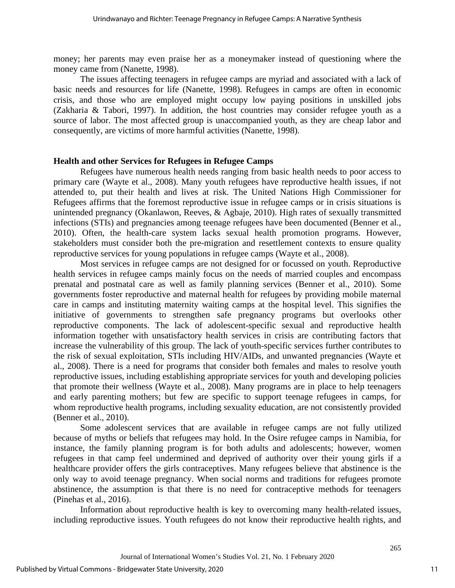money; her parents may even praise her as a moneymaker instead of questioning where the money came from (Nanette, 1998).

The issues affecting teenagers in refugee camps are myriad and associated with a lack of basic needs and resources for life (Nanette, 1998). Refugees in camps are often in economic crisis, and those who are employed might occupy low paying positions in unskilled jobs (Zakharia & Tabori, 1997). In addition, the host countries may consider refugee youth as a source of labor. The most affected group is unaccompanied youth, as they are cheap labor and consequently, are victims of more harmful activities (Nanette, 1998).

## **Health and other Services for Refugees in Refugee Camps**

Refugees have numerous health needs ranging from basic health needs to poor access to primary care (Wayte et al., 2008). Many youth refugees have reproductive health issues, if not attended to, put their health and lives at risk. The United Nations High Commissioner for Refugees affirms that the foremost reproductive issue in refugee camps or in crisis situations is unintended pregnancy (Okanlawon, Reeves, & Agbaje, 2010). High rates of sexually transmitted infections (STIs) and pregnancies among teenage refugees have been documented (Benner et al., 2010). Often, the health-care system lacks sexual health promotion programs. However, stakeholders must consider both the pre-migration and resettlement contexts to ensure quality reproductive services for young populations in refugee camps (Wayte et al., 2008).

Most services in refugee camps are not designed for or focussed on youth. Reproductive health services in refugee camps mainly focus on the needs of married couples and encompass prenatal and postnatal care as well as family planning services (Benner et al., 2010). Some governments foster reproductive and maternal health for refugees by providing mobile maternal care in camps and instituting maternity waiting camps at the hospital level. This signifies the initiative of governments to strengthen safe pregnancy programs but overlooks other reproductive components. The lack of adolescent-specific sexual and reproductive health information together with unsatisfactory health services in crisis are contributing factors that increase the vulnerability of this group. The lack of youth-specific services further contributes to the risk of sexual exploitation, STIs including HIV/AIDs, and unwanted pregnancies (Wayte et al., 2008). There is a need for programs that consider both females and males to resolve youth reproductive issues, including establishing appropriate services for youth and developing policies that promote their wellness (Wayte et al., 2008). Many programs are in place to help teenagers and early parenting mothers; but few are specific to support teenage refugees in camps, for whom reproductive health programs, including sexuality education, are not consistently provided (Benner et al., 2010).

 Some adolescent services that are available in refugee camps are not fully utilized because of myths or beliefs that refugees may hold. In the Osire refugee camps in Namibia, for instance, the family planning program is for both adults and adolescents; however, women refugees in that camp feel undermined and deprived of authority over their young girls if a healthcare provider offers the girls contraceptives. Many refugees believe that abstinence is the only way to avoid teenage pregnancy. When social norms and traditions for refugees promote abstinence, the assumption is that there is no need for contraceptive methods for teenagers (Pinehas et al., 2016).

Information about reproductive health is key to overcoming many health-related issues, including reproductive issues. Youth refugees do not know their reproductive health rights, and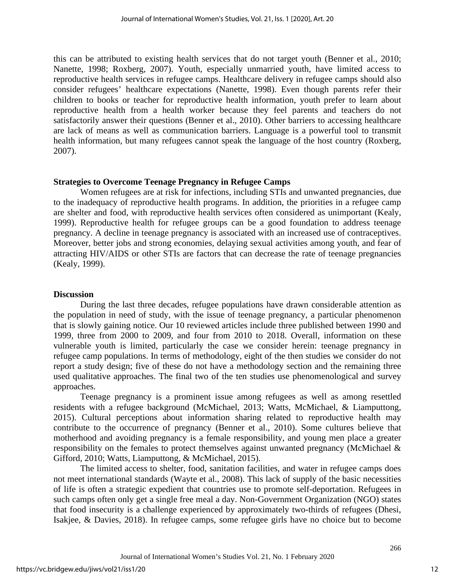this can be attributed to existing health services that do not target youth (Benner et al., 2010; Nanette, 1998; Roxberg, 2007). Youth, especially unmarried youth, have limited access to reproductive health services in refugee camps. Healthcare delivery in refugee camps should also consider refugees' healthcare expectations (Nanette, 1998). Even though parents refer their children to books or teacher for reproductive health information, youth prefer to learn about reproductive health from a health worker because they feel parents and teachers do not satisfactorily answer their questions (Benner et al., 2010). Other barriers to accessing healthcare are lack of means as well as communication barriers. Language is a powerful tool to transmit health information, but many refugees cannot speak the language of the host country (Roxberg, 2007).

## **Strategies to Overcome Teenage Pregnancy in Refugee Camps**

Women refugees are at risk for infections, including STIs and unwanted pregnancies, due to the inadequacy of reproductive health programs. In addition, the priorities in a refugee camp are shelter and food, with reproductive health services often considered as unimportant (Kealy, 1999). Reproductive health for refugee groups can be a good foundation to address teenage pregnancy. A decline in teenage pregnancy is associated with an increased use of contraceptives. Moreover, better jobs and strong economies, delaying sexual activities among youth, and fear of attracting HIV/AIDS or other STIs are factors that can decrease the rate of teenage pregnancies (Kealy, 1999).

## **Discussion**

 During the last three decades, refugee populations have drawn considerable attention as the population in need of study, with the issue of teenage pregnancy, a particular phenomenon that is slowly gaining notice. Our 10 reviewed articles include three published between 1990 and 1999, three from 2000 to 2009, and four from 2010 to 2018. Overall, information on these vulnerable youth is limited, particularly the case we consider herein: teenage pregnancy in refugee camp populations. In terms of methodology, eight of the then studies we consider do not report a study design; five of these do not have a methodology section and the remaining three used qualitative approaches. The final two of the ten studies use phenomenological and survey approaches.

Teenage pregnancy is a prominent issue among refugees as well as among resettled residents with a refugee background (McMichael, 2013; Watts, McMichael, & Liamputtong, 2015). Cultural perceptions about information sharing related to reproductive health may contribute to the occurrence of pregnancy (Benner et al., 2010). Some cultures believe that motherhood and avoiding pregnancy is a female responsibility, and young men place a greater responsibility on the females to protect themselves against unwanted pregnancy (McMichael & Gifford, 2010; Watts, Liamputtong, & McMichael, 2015).

The limited access to shelter, food, sanitation facilities, and water in refugee camps does not meet international standards (Wayte et al., 2008). This lack of supply of the basic necessities of life is often a strategic expedient that countries use to promote self-deportation. Refugees in such camps often only get a single free meal a day. Non-Government Organization (NGO) states that food insecurity is a challenge experienced by approximately two-thirds of refugees (Dhesi, Isakjee, & Davies, 2018). In refugee camps, some refugee girls have no choice but to become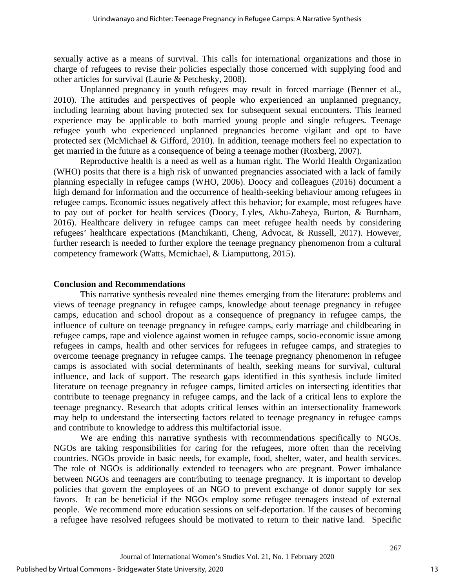sexually active as a means of survival. This calls for international organizations and those in charge of refugees to revise their policies especially those concerned with supplying food and other articles for survival (Laurie & Petchesky, 2008).

Unplanned pregnancy in youth refugees may result in forced marriage (Benner et al., 2010). The attitudes and perspectives of people who experienced an unplanned pregnancy, including learning about having protected sex for subsequent sexual encounters. This learned experience may be applicable to both married young people and single refugees. Teenage refugee youth who experienced unplanned pregnancies become vigilant and opt to have protected sex (McMichael & Gifford, 2010). In addition, teenage mothers feel no expectation to get married in the future as a consequence of being a teenage mother (Roxberg, 2007).

Reproductive health is a need as well as a human right. The World Health Organization (WHO) posits that there is a high risk of unwanted pregnancies associated with a lack of family planning especially in refugee camps (WHO, 2006). Doocy and colleagues (2016) document a high demand for information and the occurrence of health-seeking behaviour among refugees in refugee camps. Economic issues negatively affect this behavior; for example, most refugees have to pay out of pocket for health services (Doocy, Lyles, Akhu-Zaheya, Burton, & Burnham, 2016). Healthcare delivery in refugee camps can meet refugee health needs by considering refugees' healthcare expectations (Manchikanti, Cheng, Advocat, & Russell, 2017). However, further research is needed to further explore the teenage pregnancy phenomenon from a cultural competency framework (Watts, Mcmichael, & Liamputtong, 2015).

## **Conclusion and Recommendations**

 This narrative synthesis revealed nine themes emerging from the literature: problems and views of teenage pregnancy in refugee camps, knowledge about teenage pregnancy in refugee camps, education and school dropout as a consequence of pregnancy in refugee camps, the influence of culture on teenage pregnancy in refugee camps, early marriage and childbearing in refugee camps, rape and violence against women in refugee camps, socio-economic issue among refugees in camps, health and other services for refugees in refugee camps, and strategies to overcome teenage pregnancy in refugee camps. The teenage pregnancy phenomenon in refugee camps is associated with social determinants of health, seeking means for survival, cultural influence, and lack of support. The research gaps identified in this synthesis include limited literature on teenage pregnancy in refugee camps, limited articles on intersecting identities that contribute to teenage pregnancy in refugee camps, and the lack of a critical lens to explore the teenage pregnancy. Research that adopts critical lenses within an intersectionality framework may help to understand the intersecting factors related to teenage pregnancy in refugee camps and contribute to knowledge to address this multifactorial issue.

We are ending this narrative synthesis with recommendations specifically to NGOs. NGOs are taking responsibilities for caring for the refugees, more often than the receiving countries. NGOs provide in basic needs, for example, food, shelter, water, and health services. The role of NGOs is additionally extended to teenagers who are pregnant. Power imbalance between NGOs and teenagers are contributing to teenage pregnancy. It is important to develop policies that govern the employees of an NGO to prevent exchange of donor supply for sex favors. It can be beneficial if the NGOs employ some refugee teenagers instead of external people. We recommend more education sessions on self-deportation. If the causes of becoming a refugee have resolved refugees should be motivated to return to their native land. Specific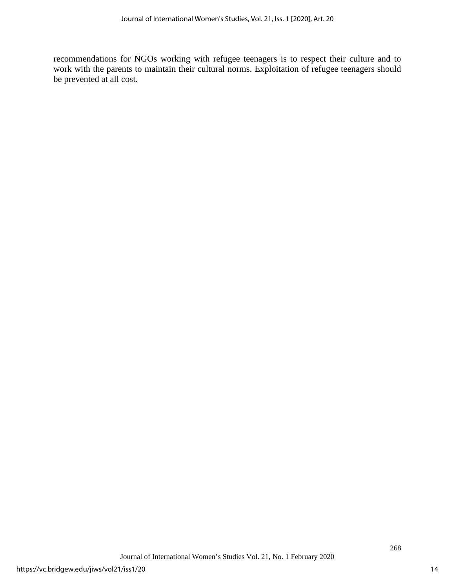recommendations for NGOs working with refugee teenagers is to respect their culture and to work with the parents to maintain their cultural norms. Exploitation of refugee teenagers should be prevented at all cost.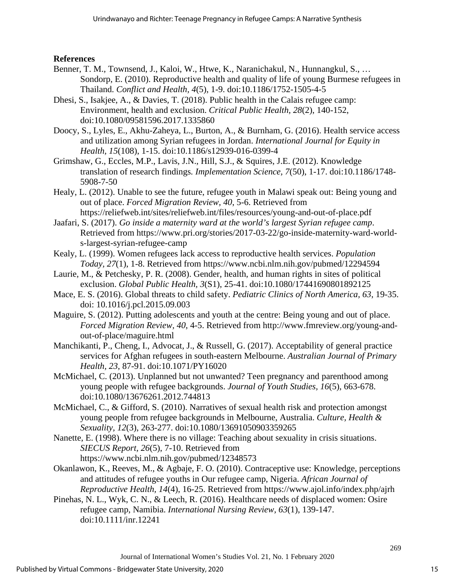## **References**

- Benner, T. M., Townsend, J., Kaloi, W., Htwe, K., Naranichakul, N., Hunnangkul, S., … Sondorp, E. (2010). Reproductive health and quality of life of young Burmese refugees in Thailand. *Conflict and Health, 4*(5), 1-9. doi:10.1186/1752-1505-4-5
- Dhesi, S., Isakjee, A., & Davies, T. (2018). Public health in the Calais refugee camp: Environment, health and exclusion. *Critical Public Health, 28*(2), 140-152, doi:10.1080/09581596.2017.1335860
- Doocy, S., Lyles, E., Akhu-Zaheya, L., Burton, A., & Burnham, G. (2016). Health service access and utilization among Syrian refugees in Jordan. *International Journal for Equity in Health, 15*(108), 1-15. doi:10.1186/s12939-016-0399-4
- Grimshaw, G., Eccles, M.P., Lavis, J.N., Hill, S.J., & Squires, J.E. (2012). Knowledge translation of research findings*. Implementation Science, 7*(50), 1-17. doi:10.1186/1748- 5908-7-50
- Healy, L. (2012). Unable to see the future, refugee youth in Malawi speak out: Being young and out of place. *Forced Migration Review, 40*, 5-6. Retrieved from https://reliefweb.int/sites/reliefweb.int/files/resources/young-and-out-of-place.pdf
- Jaafari, S. (2017). *Go inside a maternity ward at the world's largest Syrian refugee camp*. Retrieved from https://www.pri.org/stories/2017-03-22/go-inside-maternity-ward-worlds-largest-syrian-refugee-camp
- Kealy, L. (1999). Women refugees lack access to reproductive health services. *Population Today, 27*(1), 1-8. Retrieved from https://www.ncbi.nlm.nih.gov/pubmed/12294594
- Laurie, M., & Petchesky, P. R. (2008). Gender, health, and human rights in sites of political exclusion. *Global Public Health, 3*(S1), 25-41. doi:10.1080/17441690801892125
- Mace, E. S. (2016). Global threats to child safety. *Pediatric Clinics of North America, 63*, 19-35. doi: 10.1016/j.pcl.2015.09.003
- Maguire, S. (2012). Putting adolescents and youth at the centre: Being young and out of place. *Forced Migration Review, 40*, 4-5. Retrieved from http://www.fmreview.org/young-andout-of-place/maguire.html
- Manchikanti, P., Cheng, I., Advocat, J., & Russell, G. (2017). Acceptability of general practice services for Afghan refugees in south-eastern Melbourne. *Australian Journal of Primary Health, 23*, 87-91. doi:10.1071/PY16020
- McMichael, C. (2013). Unplanned but not unwanted? Teen pregnancy and parenthood among young people with refugee backgrounds. *Journal of Youth Studies, 16*(5), 663-678. doi:10.1080/13676261.2012.744813
- McMichael, C., & Gifford, S. (2010). Narratives of sexual health risk and protection amongst young people from refugee backgrounds in Melbourne, Australia. *Culture, Health & Sexuality, 12*(3), 263-277. doi:10.1080/13691050903359265
- Nanette, E. (1998). Where there is no village: Teaching about sexuality in crisis situations. *SIECUS Report, 26*(5), 7-10. Retrieved from https://www.ncbi.nlm.nih.gov/pubmed/12348573
- Okanlawon, K., Reeves, M., & Agbaje, F. O. (2010). Contraceptive use: Knowledge, perceptions and attitudes of refugee youths in Our refugee camp, Nigeria. *African Journal of Reproductive Health, 14*(4), 16-25. Retrieved from https://www.ajol.info/index.php/ajrh
- Pinehas, N. L., Wyk, C. N., & Leech, R. (2016). Healthcare needs of displaced women: Osire refugee camp, Namibia. *International Nursing Review, 63*(1), 139-147. doi:10.1111/inr.12241